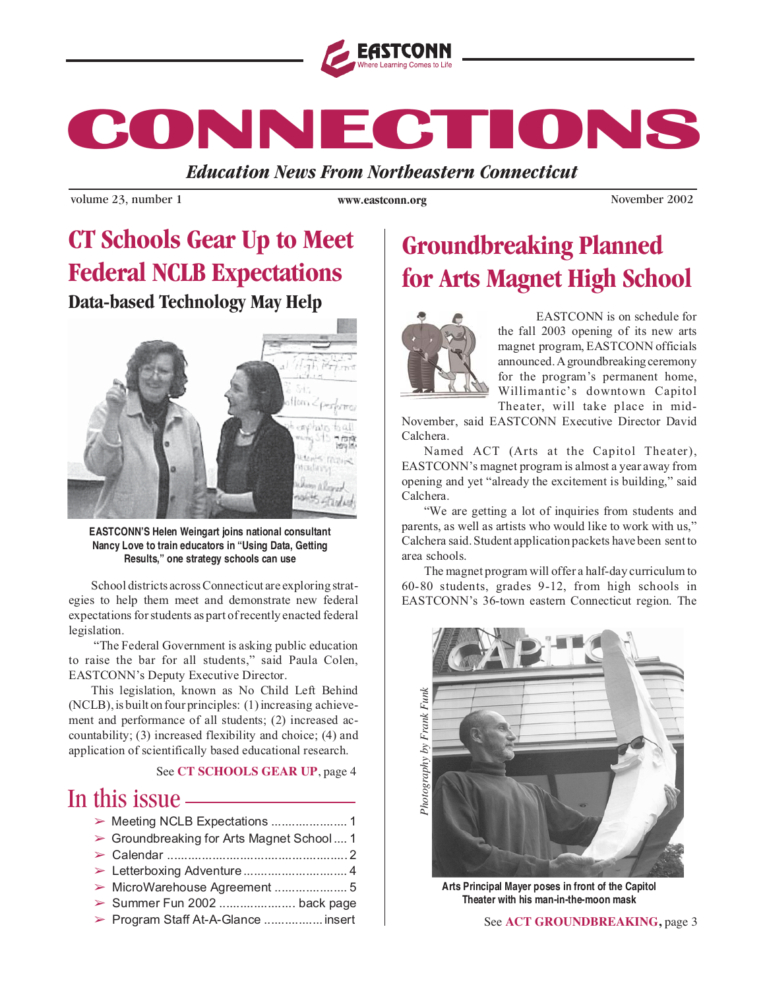

**CONNECTIONS CONNECTIONS CONNECTIONS**

*Education News From Northeastern Connecticut*

volume 23, number 1 *www.eastconn.org* November 2002

**www.eastconn.org**

## **CT Schools Gear Up to Meet Federal NCLB Expectations Data-based Technology May Help**



**EASTCONN'S Helen Weingart joins national consultant Nancy Love to train educators in "Using Data, Getting Results," one strategy schools can use**

School districts across Connecticut are exploring strategies to help them meet and demonstrate new federal expectations for students as part of recently enacted federal legislation.

"The Federal Government is asking public education to raise the bar for all students," said Paula Colen, EASTCONN's Deputy Executive Director.

This legislation, known as No Child Left Behind (NCLB), is built on four principles: (1) increasing achievement and performance of all students; (2) increased accountability; (3) increased flexibility and choice; (4) and application of scientifically based educational research.

See **CT SCHOOLS GEAR UP**, page 4

## In this issue

| > Groundbreaking for Arts Magnet School 1 |
|-------------------------------------------|
|                                           |
|                                           |
|                                           |
| > Summer Fun 2002  back page              |
| > Program Staff At-A-Glance  insert       |

## **Groundbreaking Planned for Arts Magnet High School**



EASTCONN is on schedule for the fall 2003 opening of its new arts magnet program, EASTCONN officials announced. A groundbreaking ceremony for the program's permanent home, Willimantic's downtown Capitol Theater, will take place in mid-

November, said EASTCONN Executive Director David Calchera.

Named ACT (Arts at the Capitol Theater), EASTCONN's magnet program is almost a year away from opening and yet "already the excitement is building," said Calchera.

"We are getting a lot of inquiries from students and parents, as well as artists who would like to work with us," Calchera said. Student application packets have been sent to area schools.

The magnet program will offer a half-day curriculum to 60-80 students, grades 9-12, from high schools in EASTCONN's 36-town eastern Connecticut region. The



**Arts Principal Mayer poses in front of the Capitol Theater with his man-in-the-moon mask**

#### See ACT GROUNDBREAKING, page 3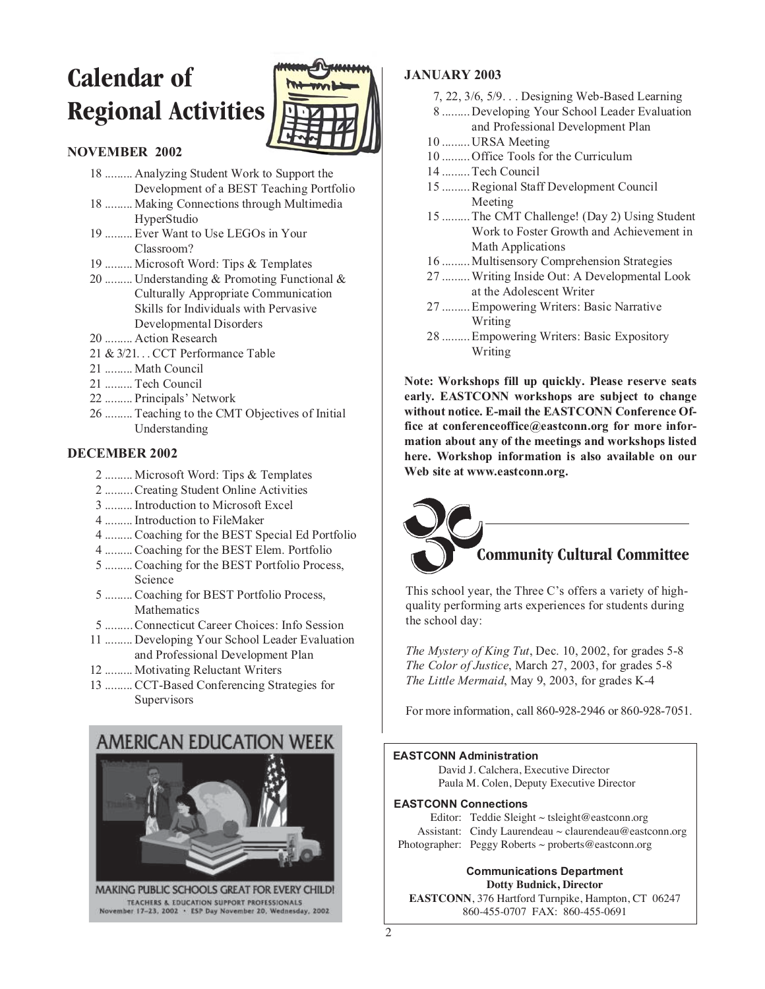# **Calendar of Regional Activities**



#### **NOVEMBER 2002**

- 18 ......... Analyzing Student Work to Support the Development of a BEST Teaching Portfolio
- 18 ......... Making Connections through Multimedia HyperStudio
- 19 ......... Ever Want to Use LEGOs in Your Classroom?
- 19 ......... Microsoft Word: Tips & Templates
- 20 ......... Understanding & Promoting Functional & Culturally Appropriate Communication Skills for Individuals with Pervasive Developmental Disorders
- 20 ......... Action Research
- 21 & 3/21. . . CCT Performance Table
- 21 ......... Math Council
- 21 ......... Tech Council
- 22 ......... Principals' Network
- 26 ......... Teaching to the CMT Objectives of Initial Understanding

#### **DECEMBER 2002**

- 2 ......... Microsoft Word: Tips & Templates
- 2 ......... Creating Student Online Activities
- 3 ......... Introduction to Microsoft Excel
- 4 ......... Introduction to FileMaker
- 4 ......... Coaching for the BEST Special Ed Portfolio
- 4 ......... Coaching for the BEST Elem. Portfolio
- 5 ......... Coaching for the BEST Portfolio Process, Science
- 5 ......... Coaching for BEST Portfolio Process, Mathematics
- 5 ......... Connecticut Career Choices: Info Session
- 11 ......... Developing Your School Leader Evaluation and Professional Development Plan
- 12 ......... Motivating Reluctant Writers
- 13 ......... CCT-Based Conferencing Strategies for Supervisors



#### **JANUARY 2003**

- 7, 22, 3/6, 5/9. . . Designing Web-Based Learning
- 8 ......... Developing Your School Leader Evaluation and Professional Development Plan
- 10 ......... URSA Meeting
- 10 ......... Office Tools for the Curriculum
- 14 ......... Tech Council
- 15 ......... Regional Staff Development Council Meeting
- 15 ......... The CMT Challenge! (Day 2) Using Student Work to Foster Growth and Achievement in Math Applications
- 16 ......... Multisensory Comprehension Strategies
- 27 ......... Writing Inside Out: A Developmental Look at the Adolescent Writer
- 27 ......... Empowering Writers: Basic Narrative Writing
- 28 ......... Empowering Writers: Basic Expository Writing

**Note: Workshops fill up quickly. Please reserve seats early. EASTCONN workshops are subject to change without notice. E-mail the EASTCONN Conference Office at conferenceoffice@eastconn.org for more information about any of the meetings and workshops listed here. Workshop information is also available on our Web site at www.eastconn.org.**

# **Community Cultural Committee**

This school year, the Three C's offers a variety of highquality performing arts experiences for students during the school day:

*The Mystery of King Tut*, Dec. 10, 2002, for grades 5-8 *The Color of Justice*, March 27, 2003, for grades 5-8 *The Little Mermaid*, May 9, 2003, for grades K-4

For more information, call 860-928-2946 or 860-928-7051.

#### **EASTCONN Administration**

David J. Calchera, Executive Director Paula M. Colen, Deputy Executive Director

#### **EASTCONN Connections**

Editor: Teddie Sleight  $\sim$  tsleight@eastconn.org Assistant: Cindy Laurendeau ~ claurendeau@eastconn.org Photographer: Peggy Roberts ~ proberts@eastconn.org

#### **Communications Department Dotty Budnick, Director**

**EASTCONN**, 376 Hartford Turnpike, Hampton, CT 06247 860-455-0707 FAX: 860-455-0691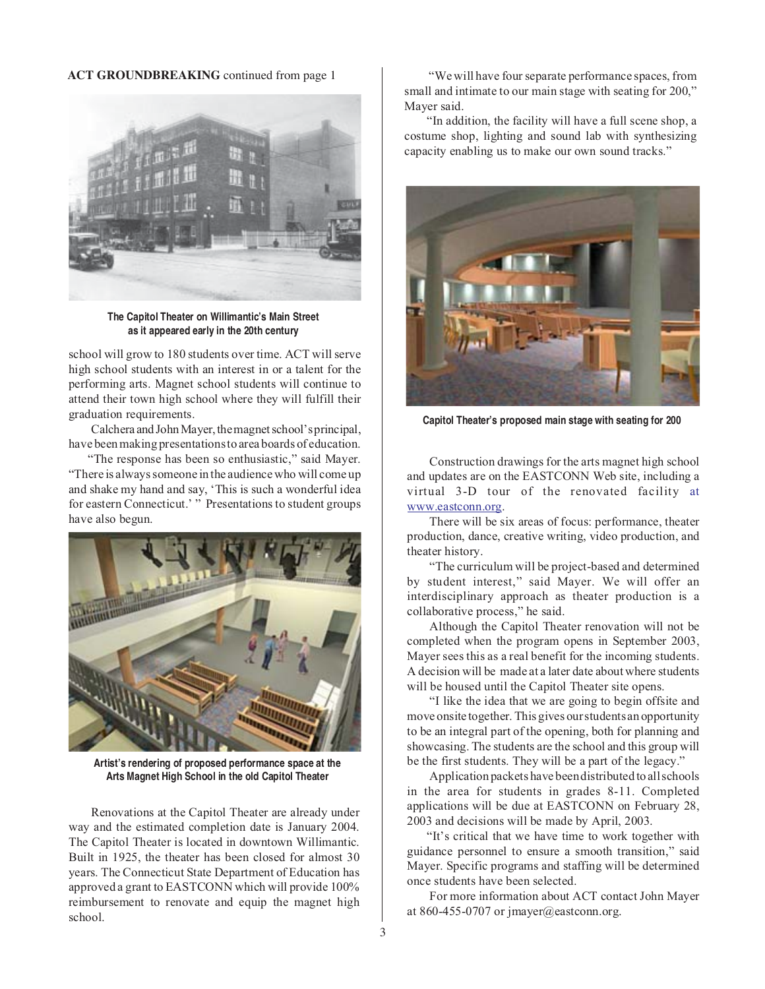#### **ACT GROUNDBREAKING** continued from page 1



**The Capitol Theater on Willimantic's Main Street as it appeared early in the 20th century**

school will grow to 180 students over time. ACT will serve high school students with an interest in or a talent for the performing arts. Magnet school students will continue to attend their town high school where they will fulfill their graduation requirements.

Calchera and John Mayer, the magnet school's principal, have been making presentations to area boards of education.

"The response has been so enthusiastic," said Mayer. "There is always someone in the audience who will come up and shake my hand and say, 'This is such a wonderful idea for eastern Connecticut.' " Presentations to student groups have also begun.



**Artist's rendering of proposed performance space at the Arts Magnet High School in the old Capitol Theater**

Renovations at the Capitol Theater are already under way and the estimated completion date is January 2004. The Capitol Theater is located in downtown Willimantic. Built in 1925, the theater has been closed for almost 30 years. The Connecticut State Department of Education has approved a grant to EASTCONN which will provide 100% reimbursement to renovate and equip the magnet high school.

"We will have four separate performance spaces, from small and intimate to our main stage with seating for 200," Mayer said.

"In addition, the facility will have a full scene shop, a costume shop, lighting and sound lab with synthesizing capacity enabling us to make our own sound tracks."



**Capitol Theater's proposed main stage with seating for 200**

Construction drawings for the arts magnet high school and updates are on the EASTCONN Web site, including a virtual 3-D tour of the renovated facility at www.eastconn.org.

There will be six areas of focus: performance, theater production, dance, creative writing, video production, and theater history.

"The curriculum will be project-based and determined by student interest," said Mayer. We will offer an interdisciplinary approach as theater production is a collaborative process," he said.

Although the Capitol Theater renovation will not be completed when the program opens in September 2003, Mayer sees this as a real benefit for the incoming students. A decision will be made at a later date about where students will be housed until the Capitol Theater site opens.

"I like the idea that we are going to begin offsite and move onsite together. This gives our students an opportunity to be an integral part of the opening, both for planning and showcasing. The students are the school and this group will be the first students. They will be a part of the legacy."

Application packets have been distributed to all schools in the area for students in grades 8-11. Completed applications will be due at EASTCONN on February 28, 2003 and decisions will be made by April, 2003.

"It's critical that we have time to work together with guidance personnel to ensure a smooth transition," said Mayer. Specific programs and staffing will be determined once students have been selected.

For more information about ACT contact John Mayer at 860-455-0707 or jmayer@eastconn.org.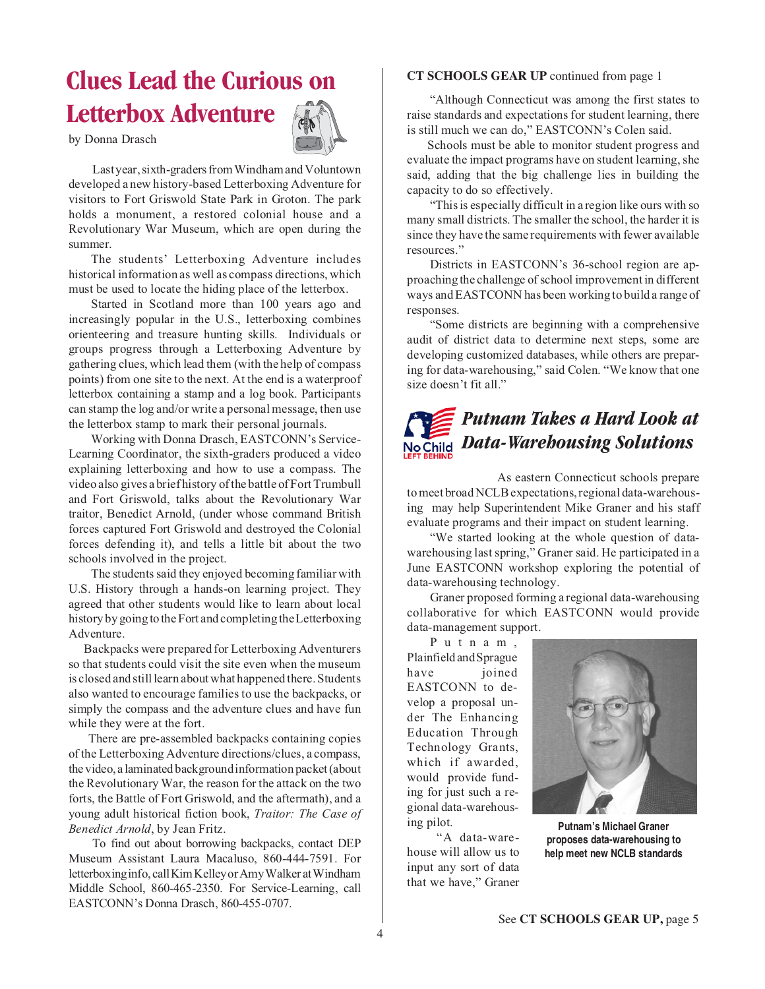## **Clues Lead the Curious on Letterbox Adventure**

by Donna Drasch



Last year, sixth-graders from Windham and Voluntown developed a new history-based Letterboxing Adventure for visitors to Fort Griswold State Park in Groton. The park holds a monument, a restored colonial house and a Revolutionary War Museum, which are open during the summer.

The students' Letterboxing Adventure includes historical information as well as compass directions, which must be used to locate the hiding place of the letterbox.

Started in Scotland more than 100 years ago and increasingly popular in the U.S., letterboxing combines orienteering and treasure hunting skills. Individuals or groups progress through a Letterboxing Adventure by gathering clues, which lead them (with the help of compass points) from one site to the next. At the end is a waterproof letterbox containing a stamp and a log book. Participants can stamp the log and/or write a personal message, then use the letterbox stamp to mark their personal journals.

Working with Donna Drasch, EASTCONN's Service-Learning Coordinator, the sixth-graders produced a video explaining letterboxing and how to use a compass. The video also gives a brief history of the battle of Fort Trumbull and Fort Griswold, talks about the Revolutionary War traitor, Benedict Arnold, (under whose command British forces captured Fort Griswold and destroyed the Colonial forces defending it), and tells a little bit about the two schools involved in the project.

The students said they enjoyed becoming familiar with U.S. History through a hands-on learning project. They agreed that other students would like to learn about local history by going to the Fort and completing the Letterboxing Adventure.

Backpacks were prepared for Letterboxing Adventurers so that students could visit the site even when the museum is closed and still learn about what happened there. Students also wanted to encourage families to use the backpacks, or simply the compass and the adventure clues and have fun while they were at the fort.

There are pre-assembled backpacks containing copies of the Letterboxing Adventure directions/clues, a compass, the video, a laminated background information packet (about the Revolutionary War, the reason for the attack on the two forts, the Battle of Fort Griswold, and the aftermath), and a young adult historical fiction book, *Traitor: The Case of Benedict Arnold*, by Jean Fritz.

To find out about borrowing backpacks, contact DEP Museum Assistant Laura Macaluso, 860-444-7591. For letterboxing info, call Kim Kelley or Amy Walker at Windham Middle School, 860-465-2350. For Service-Learning, call EASTCONN's Donna Drasch, 860-455-0707.

#### **CT SCHOOLS GEAR UP** continued from page 1

"Although Connecticut was among the first states to raise standards and expectations for student learning, there is still much we can do," EASTCONN's Colen said.

Schools must be able to monitor student progress and evaluate the impact programs have on student learning, she said, adding that the big challenge lies in building the capacity to do so effectively.

"This is especially difficult in a region like ours with so many small districts. The smaller the school, the harder it is since they have the same requirements with fewer available resources."

Districts in EASTCONN's 36-school region are approaching the challenge of school improvement in different ways and EASTCONN has been working to build a range of responses.

"Some districts are beginning with a comprehensive audit of district data to determine next steps, some are developing customized databases, while others are preparing for data-warehousing," said Colen. "We know that one size doesn't fit all."

## *Putnam Takes a Hard Look at Data-Warehousing Solutions*

As eastern Connecticut schools prepare to meet broad NCLB expectations, regional data-warehousing may help Superintendent Mike Graner and his staff evaluate programs and their impact on student learning.

"We started looking at the whole question of datawarehousing last spring," Graner said. He participated in a June EASTCONN workshop exploring the potential of data-warehousing technology.

Graner proposed forming a regional data-warehousing collaborative for which EASTCONN would provide data-management support.

Putnam, Plainfield and Sprague have joined EASTCONN to develop a proposal under The Enhancing Education Through Technology Grants, which if awarded, would provide funding for just such a regional data-warehousing pilot.

"A data-warehouse will allow us to input any sort of data that we have," Graner



**Putnam's Michael Graner proposes data-warehousing to help meet new NCLB standards**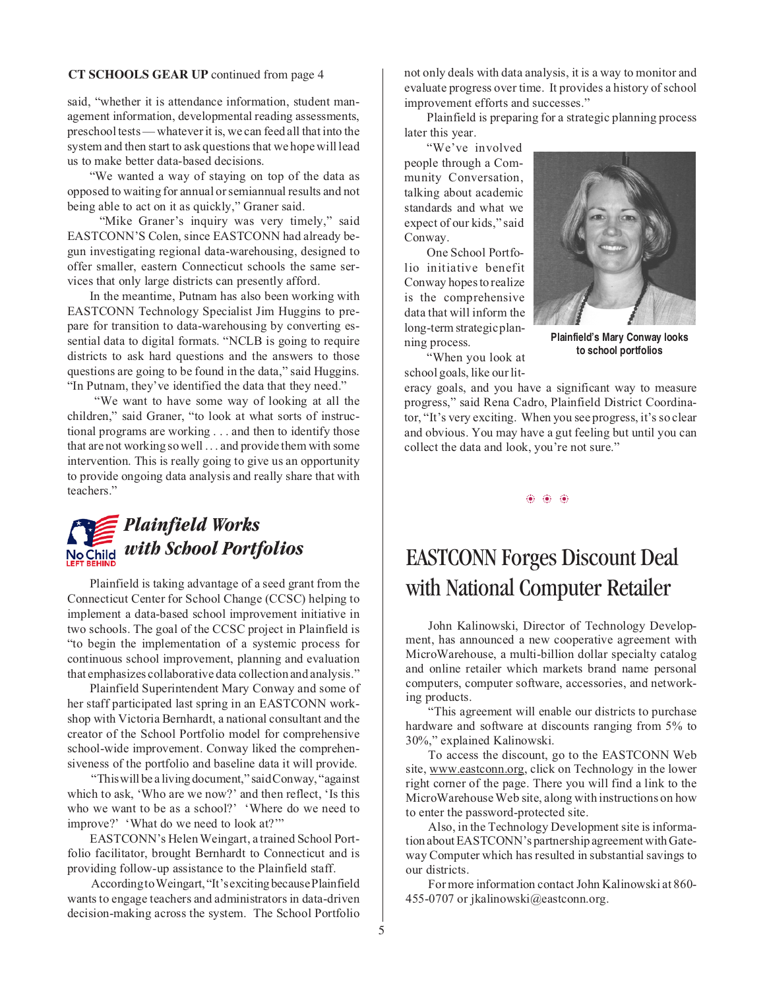#### **CT SCHOOLS GEAR UP** continued from page 4

said, "whether it is attendance information, student management information, developmental reading assessments, preschool tests — whatever it is, we can feed all that into the system and then start to ask questions that we hope will lead us to make better data-based decisions.

"We wanted a way of staying on top of the data as opposed to waiting for annual or semiannual results and not being able to act on it as quickly," Graner said.

"Mike Graner's inquiry was very timely," said EASTCONN'S Colen, since EASTCONN had already begun investigating regional data-warehousing, designed to offer smaller, eastern Connecticut schools the same services that only large districts can presently afford.

In the meantime, Putnam has also been working with EASTCONN Technology Specialist Jim Huggins to prepare for transition to data-warehousing by converting essential data to digital formats. "NCLB is going to require districts to ask hard questions and the answers to those questions are going to be found in the data," said Huggins. "In Putnam, they've identified the data that they need."

"We want to have some way of looking at all the children," said Graner, "to look at what sorts of instructional programs are working . . . and then to identify those that are not working so well . . . and provide them with some intervention. This is really going to give us an opportunity to provide ongoing data analysis and really share that with teachers."

## *Plainfield Works with School Portfolios*

Plainfield is taking advantage of a seed grant from the Connecticut Center for School Change (CCSC) helping to implement a data-based school improvement initiative in two schools. The goal of the CCSC project in Plainfield is "to begin the implementation of a systemic process for continuous school improvement, planning and evaluation that emphasizes collaborative data collection and analysis."

Plainfield Superintendent Mary Conway and some of her staff participated last spring in an EASTCONN workshop with Victoria Bernhardt, a national consultant and the creator of the School Portfolio model for comprehensive school-wide improvement. Conway liked the comprehensiveness of the portfolio and baseline data it will provide.

"This will be a living document," said Conway, "against which to ask, 'Who are we now?' and then reflect, 'Is this who we want to be as a school?' 'Where do we need to improve?' 'What do we need to look at?'"

EASTCONN's Helen Weingart, a trained School Portfolio facilitator, brought Bernhardt to Connecticut and is providing follow-up assistance to the Plainfield staff.

According to Weingart, "It's exciting because Plainfield wants to engage teachers and administrators in data-driven decision-making across the system. The School Portfolio not only deals with data analysis, it is a way to monitor and evaluate progress over time. It provides a history of school improvement efforts and successes."

Plainfield is preparing for a strategic planning process later this year.

"We've involved people through a Community Conversation, talking about academic standards and what we expect of our kids," said Conway.

One School Portfolio initiative benefit Conway hopes to realize is the comprehensive data that will inform the long-term strategic planning process.



**Plainfield's Mary Conway looks to school portfolios**

"When you look at school goals, like our lit-

eracy goals, and you have a significant way to measure progress," said Rena Cadro, Plainfield District Coordinator, "It's very exciting. When you see progress, it's so clear and obvious. You may have a gut feeling but until you can collect the data and look, you're not sure."

❂ ❂ ❂

### EASTCONN Forges Discount Deal with National Computer Retailer

John Kalinowski, Director of Technology Development, has announced a new cooperative agreement with MicroWarehouse, a multi-billion dollar specialty catalog and online retailer which markets brand name personal computers, computer software, accessories, and networking products.

"This agreement will enable our districts to purchase hardware and software at discounts ranging from 5% to 30%," explained Kalinowski.

To access the discount, go to the EASTCONN Web site, www.eastconn.org, click on Technology in the lower right corner of the page. There you will find a link to the MicroWarehouse Web site, along with instructions on how to enter the password-protected site.

Also, in the Technology Development site is information about EASTCONN's partnership agreement with Gateway Computer which has resulted in substantial savings to our districts.

For more information contact John Kalinowski at 860- 455-0707 or jkalinowski@eastconn.org.